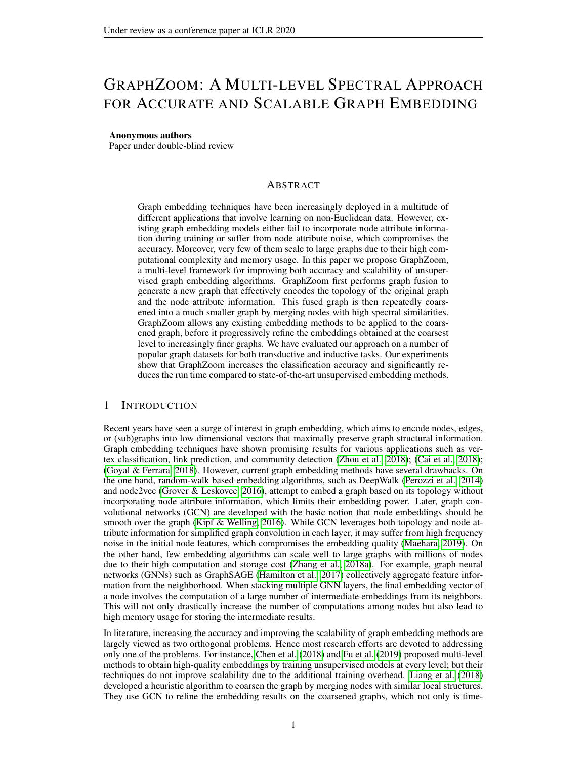# GRAPHZOOM: A MULTI-LEVEL SPECTRAL APPROACH FOR ACCURATE AND SCALABLE GRAPH EMBEDDING

#### Anonymous authors

Paper under double-blind review

## ABSTRACT

Graph embedding techniques have been increasingly deployed in a multitude of different applications that involve learning on non-Euclidean data. However, existing graph embedding models either fail to incorporate node attribute information during training or suffer from node attribute noise, which compromises the accuracy. Moreover, very few of them scale to large graphs due to their high computational complexity and memory usage. In this paper we propose GraphZoom, a multi-level framework for improving both accuracy and scalability of unsupervised graph embedding algorithms. GraphZoom first performs graph fusion to generate a new graph that effectively encodes the topology of the original graph and the node attribute information. This fused graph is then repeatedly coarsened into a much smaller graph by merging nodes with high spectral similarities. GraphZoom allows any existing embedding methods to be applied to the coarsened graph, before it progressively refine the embeddings obtained at the coarsest level to increasingly finer graphs. We have evaluated our approach on a number of popular graph datasets for both transductive and inductive tasks. Our experiments show that GraphZoom increases the classification accuracy and significantly reduces the run time compared to state-of-the-art unsupervised embedding methods.

#### 1 INTRODUCTION

Recent years have seen a surge of interest in graph embedding, which aims to encode nodes, edges, or (sub)graphs into low dimensional vectors that maximally preserve graph structural information. Graph embedding techniques have shown promising results for various applications such as vertex classification, link prediction, and community detection [\(Zhou et al., 2018\)](#page-9-0); [\(Cai et al., 2018\)](#page-8-0); [\(Goyal & Ferrara, 2018\)](#page-8-1). However, current graph embedding methods have several drawbacks. On the one hand, random-walk based embedding algorithms, such as DeepWalk [\(Perozzi et al., 2014\)](#page-9-1) and node2vec [\(Grover & Leskovec, 2016\)](#page-8-2), attempt to embed a graph based on its topology without incorporating node attribute information, which limits their embedding power. Later, graph convolutional networks (GCN) are developed with the basic notion that node embeddings should be smooth over the graph [\(Kipf & Welling, 2016\)](#page-8-3). While GCN leverages both topology and node attribute information for simplified graph convolution in each layer, it may suffer from high frequency noise in the initial node features, which compromises the embedding quality [\(Maehara, 2019\)](#page-8-4). On the other hand, few embedding algorithms can scale well to large graphs with millions of nodes due to their high computation and storage cost [\(Zhang et al., 2018a\)](#page-9-2). For example, graph neural networks (GNNs) such as GraphSAGE [\(Hamilton et al., 2017\)](#page-8-5) collectively aggregate feature information from the neighborhood. When stacking multiple GNN layers, the final embedding vector of a node involves the computation of a large number of intermediate embeddings from its neighbors. This will not only drastically increase the number of computations among nodes but also lead to high memory usage for storing the intermediate results.

In literature, increasing the accuracy and improving the scalability of graph embedding methods are largely viewed as two orthogonal problems. Hence most research efforts are devoted to addressing only one of the problems. For instance, [Chen et al.](#page-8-6) [\(2018\)](#page-8-6) and [Fu et al.](#page-8-7) [\(2019\)](#page-8-7) proposed multi-level methods to obtain high-quality embeddings by training unsupervised models at every level; but their techniques do not improve scalability due to the additional training overhead. [Liang et al.](#page-8-8) [\(2018\)](#page-8-8) developed a heuristic algorithm to coarsen the graph by merging nodes with similar local structures. They use GCN to refine the embedding results on the coarsened graphs, which not only is time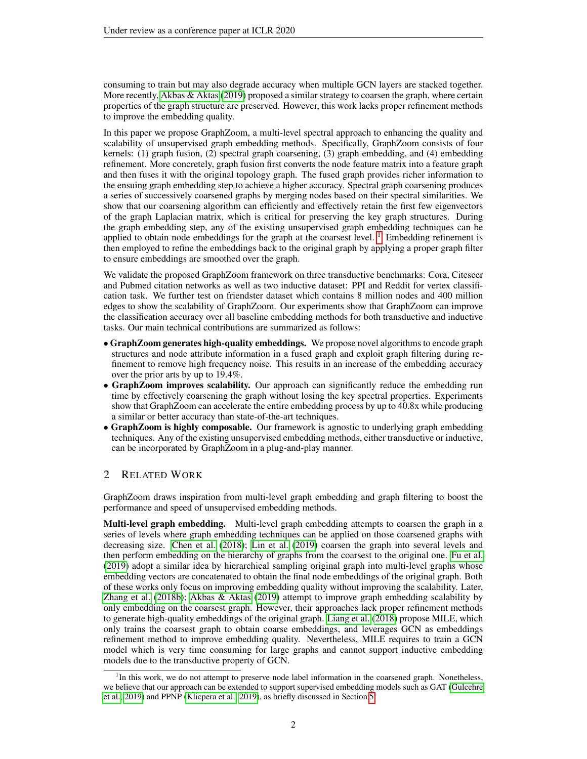consuming to train but may also degrade accuracy when multiple GCN layers are stacked together. More recently, [Akbas & Aktas](#page-8-9) [\(2019\)](#page-8-9) proposed a similar strategy to coarsen the graph, where certain properties of the graph structure are preserved. However, this work lacks proper refinement methods to improve the embedding quality.

In this paper we propose GraphZoom, a multi-level spectral approach to enhancing the quality and scalability of unsupervised graph embedding methods. Specifically, GraphZoom consists of four kernels: (1) graph fusion, (2) spectral graph coarsening, (3) graph embedding, and (4) embedding refinement. More concretely, graph fusion first converts the node feature matrix into a feature graph and then fuses it with the original topology graph. The fused graph provides richer information to the ensuing graph embedding step to achieve a higher accuracy. Spectral graph coarsening produces a series of successively coarsened graphs by merging nodes based on their spectral similarities. We show that our coarsening algorithm can efficiently and effectively retain the first few eigenvectors of the graph Laplacian matrix, which is critical for preserving the key graph structures. During the graph embedding step, any of the existing unsupervised graph embedding techniques can be applied to obtain node embeddings for the graph at the coarsest level.<sup>[1](#page-1-0)</sup> Embedding refinement is then employed to refine the embeddings back to the original graph by applying a proper graph filter to ensure embeddings are smoothed over the graph.

We validate the proposed GraphZoom framework on three transductive benchmarks: Cora, Citeseer and Pubmed citation networks as well as two inductive dataset: PPI and Reddit for vertex classification task. We further test on friendster dataset which contains 8 million nodes and 400 million edges to show the scalability of GraphZoom. Our experiments show that GraphZoom can improve the classification accuracy over all baseline embedding methods for both transductive and inductive tasks. Our main technical contributions are summarized as follows:

- GraphZoom generates high-quality embeddings. We propose novel algorithms to encode graph structures and node attribute information in a fused graph and exploit graph filtering during refinement to remove high frequency noise. This results in an increase of the embedding accuracy over the prior arts by up to 19.4%.
- GraphZoom improves scalability. Our approach can significantly reduce the embedding run time by effectively coarsening the graph without losing the key spectral properties. Experiments show that GraphZoom can accelerate the entire embedding process by up to 40.8x while producing a similar or better accuracy than state-of-the-art techniques.
- GraphZoom is highly composable. Our framework is agnostic to underlying graph embedding techniques. Any of the existing unsupervised embedding methods, either transductive or inductive, can be incorporated by GraphZoom in a plug-and-play manner.

# 2 RELATED WORK

GraphZoom draws inspiration from multi-level graph embedding and graph filtering to boost the performance and speed of unsupervised embedding methods.

Multi-level graph embedding. Multi-level graph embedding attempts to coarsen the graph in a series of levels where graph embedding techniques can be applied on those coarsened graphs with decreasing size. [Chen et al.](#page-8-6) [\(2018\)](#page-8-6); [Lin et al.](#page-8-10) [\(2019\)](#page-8-10) coarsen the graph into several levels and then perform embedding on the hierarchy of graphs from the coarsest to the original one. [Fu et al.](#page-8-7) [\(2019\)](#page-8-7) adopt a similar idea by hierarchical sampling original graph into multi-level graphs whose embedding vectors are concatenated to obtain the final node embeddings of the original graph. Both of these works only focus on improving embedding quality without improving the scalability. Later, [Zhang et al.](#page-9-3) [\(2018b\)](#page-9-3); [Akbas & Aktas](#page-8-9) [\(2019\)](#page-8-9) attempt to improve graph embedding scalability by only embedding on the coarsest graph. However, their approaches lack proper refinement methods to generate high-quality embeddings of the original graph. [Liang et al.](#page-8-8) [\(2018\)](#page-8-8) propose MILE, which only trains the coarsest graph to obtain coarse embeddings, and leverages GCN as embeddings refinement method to improve embedding quality. Nevertheless, MILE requires to train a GCN model which is very time consuming for large graphs and cannot support inductive embedding models due to the transductive property of GCN.

<span id="page-1-0"></span><sup>&</sup>lt;sup>1</sup>In this work, we do not attempt to preserve node label information in the coarsened graph. Nonetheless, we believe that our approach can be extended to support supervised embedding models such as GAT [\(Gulcehre](#page-8-11) [et al., 2019\)](#page-8-11) and PPNP [\(Klicpera et al., 2019\)](#page-8-12), as briefly discussed in Section [5.](#page-7-0)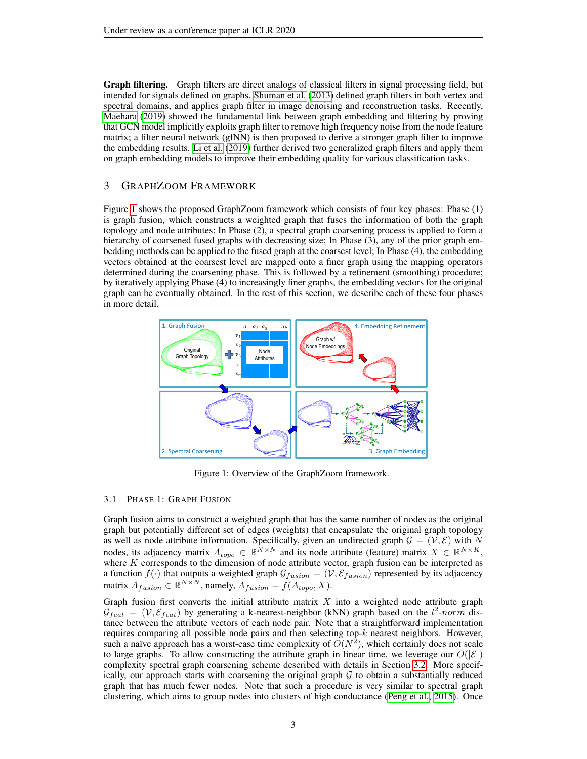Graph filtering. Graph filters are direct analogs of classical filters in signal processing field, but intended for signals defined on graphs. [Shuman et al.](#page-9-4) [\(2013\)](#page-9-4) defined graph filters in both vertex and spectral domains, and applies graph filter in image denoising and reconstruction tasks. Recently, [Maehara](#page-8-4) [\(2019\)](#page-8-4) showed the fundamental link between graph embedding and filtering by proving that GCN model implicitly exploits graph filter to remove high frequency noise from the node feature matrix; a filter neural network (gfNN) is then proposed to derive a stronger graph filter to improve the embedding results. [Li et al.](#page-8-13) [\(2019\)](#page-8-13) further derived two generalized graph filters and apply them on graph embedding models to improve their embedding quality for various classification tasks.

# 3 GRAPHZOOM FRAMEWORK

Figure [1](#page-2-0) shows the proposed GraphZoom framework which consists of four key phases: Phase (1) is graph fusion, which constructs a weighted graph that fuses the information of both the graph topology and node attributes; In Phase (2), a spectral graph coarsening process is applied to form a hierarchy of coarsened fused graphs with decreasing size; In Phase  $(3)$ , any of the prior graph embedding methods can be applied to the fused graph at the coarsest level; In Phase (4), the embedding vectors obtained at the coarsest level are mapped onto a finer graph using the mapping operators determined during the coarsening phase. This is followed by a refinement (smoothing) procedure; by iteratively applying Phase (4) to increasingly finer graphs, the embedding vectors for the original graph can be eventually obtained. In the rest of this section, we describe each of these four phases in more detail.

<span id="page-2-0"></span>

Figure 1: Overview of the GraphZoom framework.

#### 3.1 PHASE 1: GRAPH FUSION

Graph fusion aims to construct a weighted graph that has the same number of nodes as the original graph but potentially different set of edges (weights) that encapsulate the original graph topology as well as node attribute information. Specifically, given an undirected graph  $\mathcal{G} = (\mathcal{V}, \mathcal{E})$  with N nodes, its adjacency matrix  $A_{topo} \in \mathbb{R}^{N \times N}$  and its node attribute (feature) matrix  $X \in \mathbb{R}^{N \times K}$ , where  $K$  corresponds to the dimension of node attribute vector, graph fusion can be interpreted as a function  $f(\cdot)$  that outputs a weighted graph  $\mathcal{G}_{fusion} = (\mathcal{V}, \mathcal{E}_{fusion})$  represented by its adjacency matrix  $A_{fusion} \in \mathbb{R}^{N \times N}$ , namely,  $A_{fusion} = f(A_{topo}, X)$ .

Graph fusion first converts the initial attribute matrix  $X$  into a weighted node attribute graph  $\mathcal{G}_{feat} = (\mathcal{V}, \mathcal{E}_{feat})$  by generating a k-nearest-neighbor (kNN) graph based on the  $l^2$ -norm distance between the attribute vectors of each node pair. Note that a straightforward implementation requires comparing all possible node pairs and then selecting top- $k$  nearest neighbors. However, such a naïve approach has a worst-case time complexity of  $O(N^2)$ , which certainly does not scale to large graphs. To allow constructing the attribute graph in linear time, we leverage our  $O(|\mathcal{E}|)$ complexity spectral graph coarsening scheme described with details in Section [3.2.](#page-3-0) More specifically, our approach starts with coarsening the original graph  $G$  to obtain a substantially reduced graph that has much fewer nodes. Note that such a procedure is very similar to spectral graph clustering, which aims to group nodes into clusters of high conductance [\(Peng et al., 2015\)](#page-9-5). Once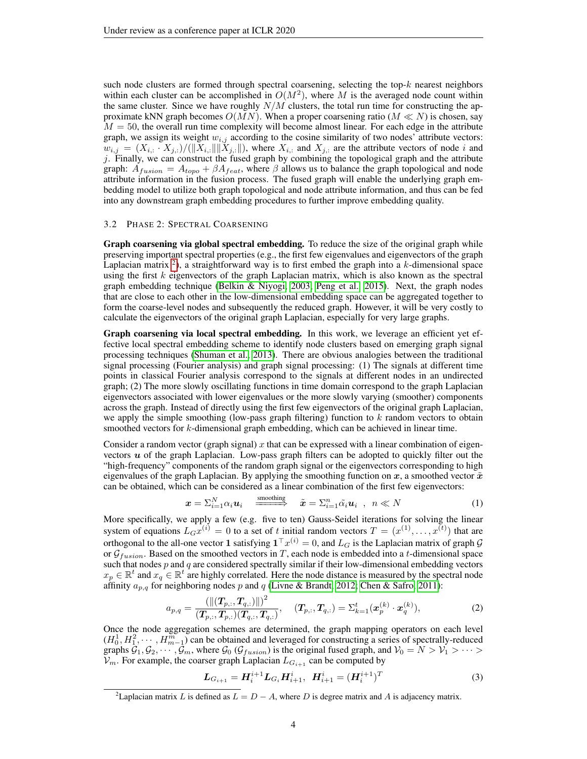such node clusters are formed through spectral coarsening, selecting the top- $k$  nearest neighbors within each cluster can be accomplished in  $O(M^2)$ , where M is the averaged node count within the same cluster. Since we have roughly  $N/M$  clusters, the total run time for constructing the approximate kNN graph becomes  $O(MN)$ . When a proper coarsening ratio  $(M \ll N)$  is chosen, say  $M = 50$ , the overall run time complexity will become almost linear. For each edge in the attribute graph, we assign its weight  $w_{i,j}$  according to the cosine similarity of two nodes' attribute vectors:  $w_{i,j} = (X_{i,:} \cdot X_{j,:})/(\|X_{i,:}\| \|X_{j,:}\|)$ , where  $X_{i,:}$  and  $X_{j,:}$  are the attribute vectors of node i and  $j$ . Finally, we can construct the fused graph by combining the topological graph and the attribute graph:  $A_{fusion} = A_{topo} + \beta A_{feat}$ , where  $\beta$  allows us to balance the graph topological and node attribute information in the fusion process. The fused graph will enable the underlying graph embedding model to utilize both graph topological and node attribute information, and thus can be fed into any downstream graph embedding procedures to further improve embedding quality.

#### <span id="page-3-0"></span>3.2 PHASE 2: SPECTRAL COARSENING

Graph coarsening via global spectral embedding. To reduce the size of the original graph while preserving important spectral properties (e.g., the first few eigenvalues and eigenvectors of the graph Laplacian matrix <sup>[2](#page-3-1)</sup>), a straightforward way is to first embed the graph into a  $k$ -dimensional space using the first  $k$  eigenvectors of the graph Laplacian matrix, which is also known as the spectral graph embedding technique [\(Belkin & Niyogi, 2003;](#page-8-14) [Peng et al., 2015\)](#page-9-5). Next, the graph nodes that are close to each other in the low-dimensional embedding space can be aggregated together to form the coarse-level nodes and subsequently the reduced graph. However, it will be very costly to calculate the eigenvectors of the original graph Laplacian, especially for very large graphs.

Graph coarsening via local spectral embedding. In this work, we leverage an efficient yet effective local spectral embedding scheme to identify node clusters based on emerging graph signal processing techniques [\(Shuman et al., 2013\)](#page-9-4). There are obvious analogies between the traditional signal processing (Fourier analysis) and graph signal processing: (1) The signals at different time points in classical Fourier analysis correspond to the signals at different nodes in an undirected graph; (2) The more slowly oscillating functions in time domain correspond to the graph Laplacian eigenvectors associated with lower eigenvalues or the more slowly varying (smoother) components across the graph. Instead of directly using the first few eigenvectors of the original graph Laplacian, we apply the simple smoothing (low-pass graph filtering) function to  $k$  random vectors to obtain smoothed vectors for k-dimensional graph embedding, which can be achieved in linear time.

Consider a random vector (graph signal) x that can be expressed with a linear combination of eigenvectors  $u$  of the graph Laplacian. Low-pass graph filters can be adopted to quickly filter out the "high-frequency" components of the random graph signal or the eigenvectors corresponding to high eigenvalues of the graph Laplacian. By applying the smoothing function on  $x$ , a smoothed vector  $\tilde{x}$ can be obtained, which can be considered as a linear combination of the first few eigenvectors:

$$
\boldsymbol{x} = \sum_{i=1}^{N} \alpha_i \boldsymbol{u}_i \quad \stackrel{\text{smoothing}}{\text{smoothing}} \quad \tilde{\boldsymbol{x}} = \sum_{i=1}^{n} \tilde{\alpha}_i \boldsymbol{u}_i \quad , \quad n \ll N \tag{1}
$$

More specifically, we apply a few (e.g. five to ten) Gauss-Seidel iterations for solving the linear system of equations  $L_Gx^{(i)} = 0$  to a set of t initial random vectors  $T = (x^{(1)}, \dots, x^{(t)})$  that are orthogonal to the all-one vector 1 satisfying  $1^{\top}x^{(i)} = 0$ , and  $L_G$  is the Laplacian matrix of graph  $G$ or  $\mathcal{G}_{fusion}$ . Based on the smoothed vectors in T, each node is embedded into a t-dimensional space such that nodes  $p$  and  $q$  are considered spectrally similar if their low-dimensional embedding vectors  $x_p \in \mathbb{R}^t$  and  $x_q \in \mathbb{R}^t$  are highly correlated. Here the node distance is measured by the spectral node affinity  $a_{p,q}$  for neighboring nodes p and q [\(Livne & Brandt, 2012;](#page-8-15) [Chen & Safro, 2011\)](#page-8-16):

<span id="page-3-2"></span>
$$
a_{p,q} = \frac{\left(\left\|\left(\boldsymbol{T}_{p,:}, \boldsymbol{T}_{q,:}\right)\right\|\right)^2}{\left(\boldsymbol{T}_{p,:}, \boldsymbol{T}_{p,:}\right)\left(\boldsymbol{T}_{q,:}, \boldsymbol{T}_{q,:}\right)}, \quad \left(\boldsymbol{T}_{p,:}, \boldsymbol{T}_{q,:}\right) = \Sigma_{k=1}^t(\boldsymbol{x}_p^{(k)} \cdot \boldsymbol{x}_q^{(k)}), \tag{2}
$$

Once the node aggregation schemes are determined, the graph mapping operators on each level  $(H_0^1, H_1^2, \cdots, H_{m-1}^m)$  can be obtained and leveraged for constructing a series of spectrally-reduced graphs  $G_1, G_2, \cdots, G_m$ , where  $G_0$  ( $G_{fusion}$ ) is the original fused graph, and  $V_0 = N > V_1 > \cdots >$  $V_m$ . For example, the coarser graph Laplacian  $L_{G_{i+1}}$  can be computed by

$$
L_{G_{i+1}} = H_i^{i+1} L_{G_i} H_{i+1}^i, \ H_{i+1}^i = (H_i^{i+1})^T
$$
\n(3)

<span id="page-3-1"></span><sup>&</sup>lt;sup>2</sup>Laplacian matrix L is defined as  $L = D - A$ , where D is degree matrix and A is adjacency matrix.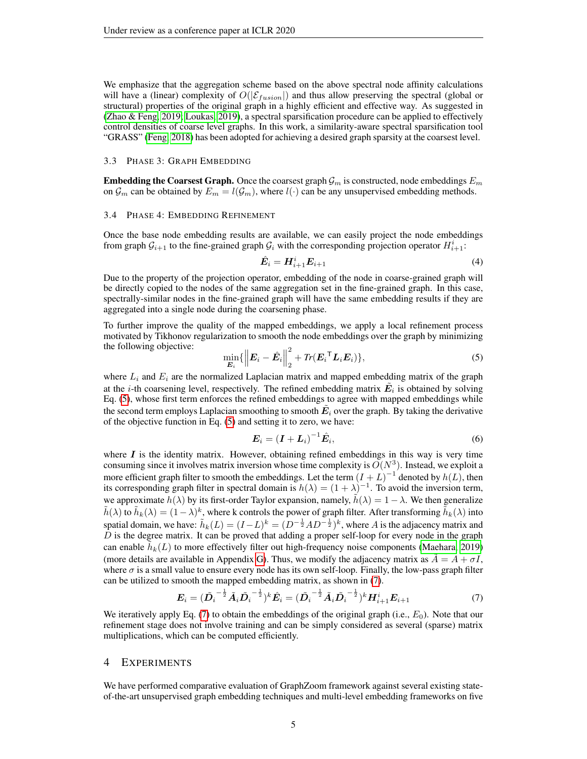We emphasize that the aggregation scheme based on the above spectral node affinity calculations will have a (linear) complexity of  $O(|\mathcal{E}_{fusion}|)$  and thus allow preserving the spectral (global or structural) properties of the original graph in a highly efficient and effective way. As suggested in [\(Zhao & Feng, 2019;](#page-9-6) [Loukas, 2019\)](#page-8-17), a spectral sparsification procedure can be applied to effectively control densities of coarse level graphs. In this work, a similarity-aware spectral sparsification tool "GRASS" [\(Feng, 2018\)](#page-8-18) has been adopted for achieving a desired graph sparsity at the coarsest level.

#### 3.3 PHASE 3: GRAPH EMBEDDING

**Embedding the Coarsest Graph.** Once the coarsest graph  $\mathcal{G}_m$  is constructed, node embeddings  $E_m$ on  $\mathcal{G}_m$  can be obtained by  $E_m = l(\mathcal{G}_m)$ , where  $l(\cdot)$  can be any unsupervised embedding methods.

#### 3.4 PHASE 4: EMBEDDING REFINEMENT

Once the base node embedding results are available, we can easily project the node embeddings from graph  $\mathcal{G}_{i+1}$  to the fine-grained graph  $\mathcal{G}_i$  with the corresponding projection operator  $H_{i+1}^i$ :

$$
\hat{\boldsymbol{E}}_i = \boldsymbol{H}_{i+1}^i \boldsymbol{E}_{i+1} \tag{4}
$$

Due to the property of the projection operator, embedding of the node in coarse-grained graph will be directly copied to the nodes of the same aggregation set in the fine-grained graph. In this case, spectrally-similar nodes in the fine-grained graph will have the same embedding results if they are aggregated into a single node during the coarsening phase.

To further improve the quality of the mapped embeddings, we apply a local refinement process motivated by Tikhonov regularization to smooth the node embeddings over the graph by minimizing the following objective: 2

<span id="page-4-0"></span>
$$
\min_{\boldsymbol{E}_i} \{ \left\| \boldsymbol{E}_i - \hat{\boldsymbol{E}}_i \right\|_2^2 + Tr(\boldsymbol{E}_i^\top \boldsymbol{L}_i \boldsymbol{E}_i) \},\tag{5}
$$

where  $L_i$  and  $E_i$  are the normalized Laplacian matrix and mapped embedding matrix of the graph at the *i*-th coarsening level, respectively. The refined embedding matrix  $\tilde{E}_i$  is obtained by solving Eq. [\(5\)](#page-4-0), whose first term enforces the refined embeddings to agree with mapped embeddings while the second term employs Laplacian smoothing to smooth  $\tilde{E}_i$  over the graph. By taking the derivative of the objective function in Eq. [\(5\)](#page-4-0) and setting it to zero, we have:

$$
E_i = (I + L_i)^{-1} \hat{E}_i, \tag{6}
$$

where  $\bm{I}$  is the identity matrix. However, obtaining refined embeddings in this way is very time consuming since it involves matrix inversion whose time complexity is  $O(N^3)$ . Instead, we exploit a more efficient graph filter to smooth the embeddings. Let the term  $(I + L)^{-1}$  denoted by  $h(L)$ , then its corresponding graph filter in spectral domain is  $h(\lambda) = (1 + \lambda)^{-1}$ . To avoid the inversion term, we approximate  $h(\lambda)$  by its first-order Taylor expansion, namely,  $\tilde{h}(\lambda) = 1 - \lambda$ . We then generalize  $\tilde{h}(\lambda)$  to  $\tilde{h}_k(\lambda) = (1-\lambda)^k$ , where k controls the power of graph filter. After transforming  $\tilde{h}_k(\lambda)$  into spatial domain, we have:  $\tilde{h}_k(L) = (I - L)^k = (D^{-\frac{1}{2}}AD^{-\frac{1}{2}})^k$ , where  $A$  is the adjacency matrix and  $\overline{D}$  is the degree matrix. It can be proved that adding a proper self-loop for every node in the graph can enable  $\tilde{h}_k(L)$  to more effectively filter out high-frequency noise components [\(Maehara, 2019\)](#page-8-4) (more details are available in Appendix [G\)](#page-14-0). Thus, we modify the adjacency matrix as  $A = A + \sigma I$ , where  $\sigma$  is a small value to ensure every node has its own self-loop. Finally, the low-pass graph filter can be utilized to smooth the mapped embedding matrix, as shown in [\(7\)](#page-4-1).

<span id="page-4-1"></span>
$$
E_i = (\tilde{D}_i^{-\frac{1}{2}} \tilde{A}_i \tilde{D}_i^{-\frac{1}{2}})^k \hat{E}_i = (\tilde{D}_i^{-\frac{1}{2}} \tilde{A}_i \tilde{D}_i^{-\frac{1}{2}})^k H_{i+1}^i E_{i+1}
$$
(7)

We iteratively apply Eq. [\(7\)](#page-4-1) to obtain the embeddings of the original graph (i.e.,  $E_0$ ). Note that our refinement stage does not involve training and can be simply considered as several (sparse) matrix multiplications, which can be computed efficiently.

#### 4 EXPERIMENTS

We have performed comparative evaluation of GraphZoom framework against several existing stateof-the-art unsupervised graph embedding techniques and multi-level embedding frameworks on five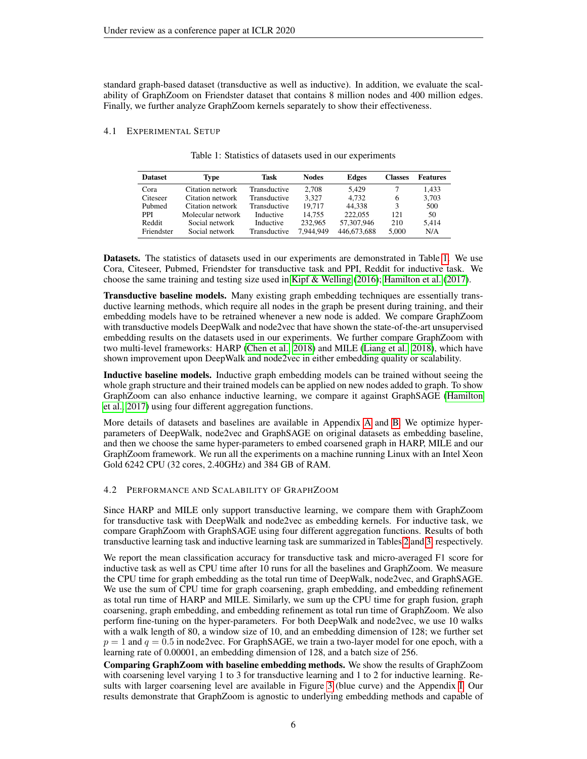standard graph-based dataset (transductive as well as inductive). In addition, we evaluate the scalability of GraphZoom on Friendster dataset that contains 8 million nodes and 400 million edges. Finally, we further analyze GraphZoom kernels separately to show their effectiveness.

#### <span id="page-5-0"></span>4.1 EXPERIMENTAL SETUP

| <b>Dataset</b> | Type              | Task         | <b>Nodes</b> | Edges       | <b>Classes</b> | <b>Features</b> |
|----------------|-------------------|--------------|--------------|-------------|----------------|-----------------|
| Cora           | Citation network  | Transductive | 2.708        | 5.429       |                | 1.433           |
| Citeseer       | Citation network  | Transductive | 3.327        | 4.732       | 6              | 3.703           |
| Pubmed         | Citation network  | Transductive | 19.717       | 44.338      | 3              | 500             |
| PPI            | Molecular network | Inductive    | 14.755       | 222,055     | 121            | 50              |
| Reddit         | Social network    | Inductive    | 232,965      | 57,307,946  | 210            | 5.414           |
| Friendster     | Social network    | Transductive | 7,944,949    | 446,673,688 | 5.000          | N/A             |

|  |  |  |  | Table 1: Statistics of datasets used in our experiments |
|--|--|--|--|---------------------------------------------------------|
|--|--|--|--|---------------------------------------------------------|

Datasets. The statistics of datasets used in our experiments are demonstrated in Table [1.](#page-5-0) We use Cora, Citeseer, Pubmed, Friendster for transductive task and PPI, Reddit for inductive task. We choose the same training and testing size used in [Kipf & Welling](#page-8-3) [\(2016\)](#page-8-3); [Hamilton et al.](#page-8-5) [\(2017\)](#page-8-5).

Transductive baseline models. Many existing graph embedding techniques are essentially transductive learning methods, which require all nodes in the graph be present during training, and their embedding models have to be retrained whenever a new node is added. We compare GraphZoom with transductive models DeepWalk and node2vec that have shown the state-of-the-art unsupervised embedding results on the datasets used in our experiments. We further compare GraphZoom with two multi-level frameworks: HARP [\(Chen et al., 2018\)](#page-8-6) and MILE [\(Liang et al., 2018\)](#page-8-8), which have shown improvement upon DeepWalk and node2vec in either embedding quality or scalability.

Inductive baseline models. Inductive graph embedding models can be trained without seeing the whole graph structure and their trained models can be applied on new nodes added to graph. To show GraphZoom can also enhance inductive learning, we compare it against GraphSAGE [\(Hamilton](#page-8-5) [et al., 2017\)](#page-8-5) using four different aggregation functions.

More details of datasets and baselines are available in Appendix [A](#page-10-0) and [B.](#page-10-1) We optimize hyperparameters of DeepWalk, node2vec and GraphSAGE on original datasets as embedding baseline, and then we choose the same hyper-parameters to embed coarsened graph in HARP, MILE and our GraphZoom framework. We run all the experiments on a machine running Linux with an Intel Xeon Gold 6242 CPU (32 cores, 2.40GHz) and 384 GB of RAM.

#### 4.2 PERFORMANCE AND SCALABILITY OF GRAPHZOOM

Since HARP and MILE only support transductive learning, we compare them with GraphZoom for transductive task with DeepWalk and node2vec as embedding kernels. For inductive task, we compare GraphZoom with GraphSAGE using four different aggregation functions. Results of both transductive learning task and inductive learning task are summarized in Tables [2](#page-6-0) and [3,](#page-6-1) respectively.

We report the mean classification accuracy for transductive task and micro-averaged F1 score for inductive task as well as CPU time after 10 runs for all the baselines and GraphZoom. We measure the CPU time for graph embedding as the total run time of DeepWalk, node2vec, and GraphSAGE. We use the sum of CPU time for graph coarsening, graph embedding, and embedding refinement as total run time of HARP and MILE. Similarly, we sum up the CPU time for graph fusion, graph coarsening, graph embedding, and embedding refinement as total run time of GraphZoom. We also perform fine-tuning on the hyper-parameters. For both DeepWalk and node2vec, we use 10 walks with a walk length of 80, a window size of 10, and an embedding dimension of 128; we further set  $p = 1$  and  $q = 0.5$  in node2vec. For GraphSAGE, we train a two-layer model for one epoch, with a learning rate of 0.00001, an embedding dimension of 128, and a batch size of 256.

Comparing GraphZoom with baseline embedding methods. We show the results of GraphZoom with coarsening level varying 1 to 3 for transductive learning and 1 to 2 for inductive learning. Results with larger coarsening level are available in Figure [3](#page-7-1) (blue curve) and the Appendix [I.](#page-14-1) Our results demonstrate that GraphZoom is agnostic to underlying embedding methods and capable of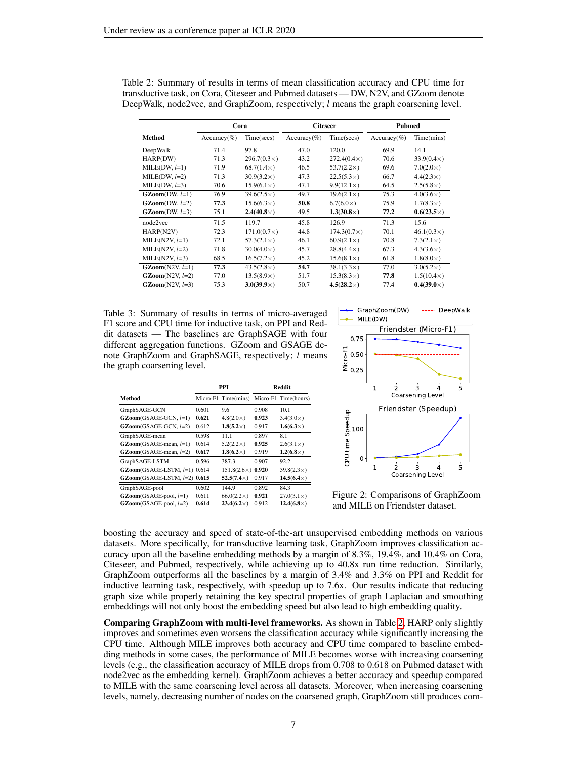|                                       | Cora           |                    | <b>Citeseer</b> |                    | <b>Pubmed</b>  |                   |
|---------------------------------------|----------------|--------------------|-----------------|--------------------|----------------|-------------------|
| Method                                | $Accuracy(\%)$ | Time(secs)         | $Accuracy(\%)$  | Time(secs)         | $Accuracy(\%)$ | Time(mins)        |
| DeepWalk                              | 71.4           | 97.8               | 47.0            | 120.0              | 69.9           | 14.1              |
| HARP(DW)                              | 71.3           | $296.7(0.3\times)$ | 43.2            | $272.4(0.4\times)$ | 70.6           | $33.9(0.4\times)$ |
| $MILE(DW, l=1)$                       | 71.9           | $68.7(1.4\times)$  | 46.5            | $53.7(2.2\times)$  | 69.6           | $7.0(2.0\times)$  |
| $MILE(DW, l=2)$                       | 71.3           | $30.9(3.2\times)$  | 47.3            | $22.5(5.3\times)$  | 66.7           | $4.4(2.3\times)$  |
| $MILE(DW, l=3)$                       | 70.6           | $15.9(6.1\times)$  | 47.1            | $9.9(12.1\times)$  | 64.5           | $2.5(5.8\times)$  |
| $\textbf{GZoom}(\textbf{DW}, l=1)$    | 76.9           | $39.6(2.5\times)$  | 49.7            | $19.6(2.1\times)$  | 75.3           | $4.0(3.6\times)$  |
| $\textbf{GZoom}(\text{DW}, l=2)$      | 77.3           | $15.6(6.3\times)$  | 50.8            | $6.7(6.0\times)$   | 75.9           | $1.7(8.3\times)$  |
| $\textbf{GZoom}(\textbf{DW}, \, l=3)$ | 75.1           | $2.4(40.8\times)$  | 49.5            | $1.3(30.8\times)$  | 77.2           | $0.6(23.5\times)$ |
| node2vec                              | 71.5           | 119.7              | 45.8            | 126.9              | 71.3           | 15.6              |
| HARP(N2V)                             | 72.3           | $171.0(0.7\times)$ | 44.8            | $174.3(0.7\times)$ | 70.1           | $46.1(0.3\times)$ |
| MILE( $N2V, l=1$ )                    | 72.1           | $57.3(2.1\times)$  | 46.1            | $60.9(2.1\times)$  | 70.8           | $7.3(2.1\times)$  |
| MILE( $N2V, l=2$ )                    | 71.8           | $30.0(4.0\times)$  | 45.7            | $28.8(4.4\times)$  | 67.3           | $4.3(3.6\times)$  |
| MILE(N2V, $l=3$ )                     | 68.5           | $16.5(7.2\times)$  | 45.2            | $15.6(8.1\times)$  | 61.8           | $1.8(8.0\times)$  |
| $\textbf{GZoom}(N2V, l=1)$            | 77.3           | $43.5(2.8\times)$  | 54.7            | $38.1(3.3\times)$  | 77.0           | $3.0(5.2\times)$  |
| $\textbf{GZoom}(N2V, l=2)$            | 77.0           | $13.5(8.9\times)$  | 51.7            | $15.3(8.3\times)$  | 77.8           | $1.5(10.4\times)$ |
| $\textbf{GZoom}(N2V, l=3)$            | 75.3           | $3.0(39.9\times)$  | 50.7            | $4.5(28.2\times)$  | 77.4           | $0.4(39.0\times)$ |

<span id="page-6-0"></span>Table 2: Summary of results in terms of mean classification accuracy and CPU time for transductive task, on Cora, Citeseer and Pubmed datasets — DW, N2V, and GZoom denote DeepWalk, node2vec, and GraphZoom, respectively; l means the graph coarsening level.

<span id="page-6-1"></span>Table 3: Summary of results in terms of micro-averaged F1 score and CPU time for inductive task, on PPI and Reddit datasets — The baselines are GraphSAGE with four different aggregation functions. GZoom and GSAGE denote GraphZoom and GraphSAGE, respectively; l means the graph coarsening level.

|                                |       | PPI                 | <b>Reddit</b> |                      |  |
|--------------------------------|-------|---------------------|---------------|----------------------|--|
| Method                         |       | Micro-F1 Time(mins) |               | Micro-F1 Time(hours) |  |
| GraphSAGE-GCN                  | 0.601 | 9.6                 | 0.908         | 10.1                 |  |
| $GZoom(GSAGE-GCN, l=1)$        | 0.621 | $4.8(2.0\times)$    | 0.923         | $3.4(3.0\times)$     |  |
| $GZoom(GSAGE-GCN, l=2)$        | 0.612 | $1.8(5.2\times)$    | 0.917         | $1.6(6.3\times)$     |  |
| GraphSAGE-mean                 | 0.598 | 11 1                | 0.897         | 8.1                  |  |
| $GZoom(GSAGE-mean, l=1)$       | 0.614 | $5.2(2.2\times)$    | 0.925         | $2.6(3.1\times)$     |  |
| $GZoom(GSAGE-mean, l=2)$       | 0.617 | $1.8(6.2\times)$    | 0.919         | $1.2(6.8\times)$     |  |
| GraphSAGE-LSTM                 | 0.596 | 387.3               | 0.907         | 92.2                 |  |
| $GZoom(GSAGE-LSTM, l=1)$ 0.614 |       | $151.8(2.6\times)$  | 0.920         | $39.8(2.3\times)$    |  |
| $GZoom(GSAGE-LSTM, l=2)$ 0.615 |       | $52.5(7.4\times)$   | 0.917         | $14.5(6.4\times)$    |  |
| GraphSAGE-pool                 | 0.602 | 144.9               | 0.892         | 84.3                 |  |
| $GZoom(GSAGE-pool, l=1)$       | 0.611 | $66.0(2.2\times)$   | 0.921         | $27.0(3.1\times)$    |  |
| $GZoom(GSAGE-pool, l=2)$       | 0.614 | $23.4(6.2\times)$   | 0.912         | $12.4(6.8\times)$    |  |



Figure 2: Comparisons of GraphZoom and MILE on Friendster dataset.

boosting the accuracy and speed of state-of-the-art unsupervised embedding methods on various datasets. More specifically, for transductive learning task, GraphZoom improves classification accuracy upon all the baseline embedding methods by a margin of 8.3%, 19.4%, and 10.4% on Cora, Citeseer, and Pubmed, respectively, while achieving up to 40.8x run time reduction. Similarly, GraphZoom outperforms all the baselines by a margin of 3.4% and 3.3% on PPI and Reddit for inductive learning task, respectively, with speedup up to 7.6x. Our results indicate that reducing graph size while properly retaining the key spectral properties of graph Laplacian and smoothing embeddings will not only boost the embedding speed but also lead to high embedding quality.

Comparing GraphZoom with multi-level frameworks. As shown in Table [2,](#page-6-0) HARP only slightly improves and sometimes even worsens the classification accuracy while significantly increasing the CPU time. Although MILE improves both accuracy and CPU time compared to baseline embedding methods in some cases, the performance of MILE becomes worse with increasing coarsening levels (e.g., the classification accuracy of MILE drops from 0.708 to 0.618 on Pubmed dataset with node2vec as the embedding kernel). GraphZoom achieves a better accuracy and speedup compared to MILE with the same coarsening level across all datasets. Moreover, when increasing coarsening levels, namely, decreasing number of nodes on the coarsened graph, GraphZoom still produces com-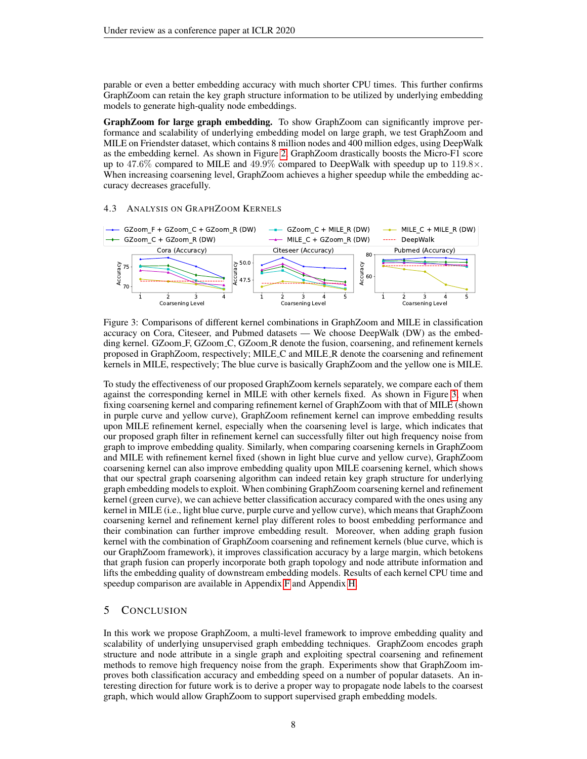parable or even a better embedding accuracy with much shorter CPU times. This further confirms GraphZoom can retain the key graph structure information to be utilized by underlying embedding models to generate high-quality node embeddings.

GraphZoom for large graph embedding. To show GraphZoom can significantly improve performance and scalability of underlying embedding model on large graph, we test GraphZoom and MILE on Friendster dataset, which contains 8 million nodes and 400 million edges, using DeepWalk as the embedding kernel. As shown in Figure [2,](#page-6-1) GraphZoom drastically boosts the Micro-F1 score up to 47.6% compared to MILE and 49.9% compared to DeepWalk with speedup up to  $119.8\times$ . When increasing coarsening level, GraphZoom achieves a higher speedup while the embedding accuracy decreases gracefully.

#### 4.3 ANALYSIS ON GRAPHZOOM KERNELS

<span id="page-7-1"></span>

Figure 3: Comparisons of different kernel combinations in GraphZoom and MILE in classification accuracy on Cora, Citeseer, and Pubmed datasets — We choose DeepWalk (DW) as the embedding kernel. GZoom F, GZoom C, GZoom R denote the fusion, coarsening, and refinement kernels proposed in GraphZoom, respectively; MILE C and MILE R denote the coarsening and refinement kernels in MILE, respectively; The blue curve is basically GraphZoom and the yellow one is MILE.

To study the effectiveness of our proposed GraphZoom kernels separately, we compare each of them against the corresponding kernel in MILE with other kernels fixed. As shown in Figure [3,](#page-7-1) when fixing coarsening kernel and comparing refinement kernel of GraphZoom with that of MILE (shown in purple curve and yellow curve), GraphZoom refinement kernel can improve embedding results upon MILE refinement kernel, especially when the coarsening level is large, which indicates that our proposed graph filter in refinement kernel can successfully filter out high frequency noise from graph to improve embedding quality. Similarly, when comparing coarsening kernels in GraphZoom and MILE with refinement kernel fixed (shown in light blue curve and yellow curve), GraphZoom coarsening kernel can also improve embedding quality upon MILE coarsening kernel, which shows that our spectral graph coarsening algorithm can indeed retain key graph structure for underlying graph embedding models to exploit. When combining GraphZoom coarsening kernel and refinement kernel (green curve), we can achieve better classification accuracy compared with the ones using any kernel in MILE (i.e., light blue curve, purple curve and yellow curve), which means that GraphZoom coarsening kernel and refinement kernel play different roles to boost embedding performance and their combination can further improve embedding result. Moreover, when adding graph fusion kernel with the combination of GraphZoom coarsening and refinement kernels (blue curve, which is our GraphZoom framework), it improves classification accuracy by a large margin, which betokens that graph fusion can properly incorporate both graph topology and node attribute information and lifts the embedding quality of downstream embedding models. Results of each kernel CPU time and speedup comparison are available in Appendix [F](#page-13-0) and Appendix [H.](#page-13-1)

### <span id="page-7-0"></span>5 CONCLUSION

In this work we propose GraphZoom, a multi-level framework to improve embedding quality and scalability of underlying unsupervised graph embedding techniques. GraphZoom encodes graph structure and node attribute in a single graph and exploiting spectral coarsening and refinement methods to remove high frequency noise from the graph. Experiments show that GraphZoom improves both classification accuracy and embedding speed on a number of popular datasets. An interesting direction for future work is to derive a proper way to propagate node labels to the coarsest graph, which would allow GraphZoom to support supervised graph embedding models.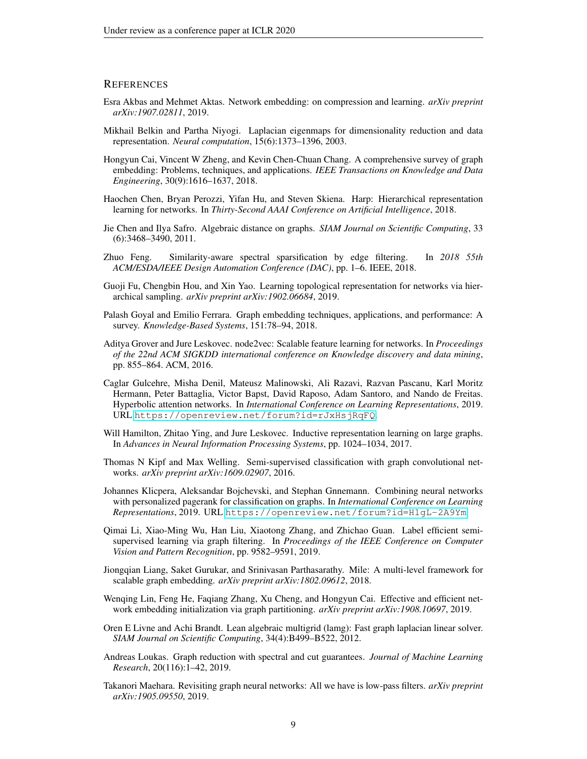#### **REFERENCES**

- <span id="page-8-9"></span>Esra Akbas and Mehmet Aktas. Network embedding: on compression and learning. *arXiv preprint arXiv:1907.02811*, 2019.
- <span id="page-8-14"></span>Mikhail Belkin and Partha Niyogi. Laplacian eigenmaps for dimensionality reduction and data representation. *Neural computation*, 15(6):1373–1396, 2003.
- <span id="page-8-0"></span>Hongyun Cai, Vincent W Zheng, and Kevin Chen-Chuan Chang. A comprehensive survey of graph embedding: Problems, techniques, and applications. *IEEE Transactions on Knowledge and Data Engineering*, 30(9):1616–1637, 2018.
- <span id="page-8-6"></span>Haochen Chen, Bryan Perozzi, Yifan Hu, and Steven Skiena. Harp: Hierarchical representation learning for networks. In *Thirty-Second AAAI Conference on Artificial Intelligence*, 2018.
- <span id="page-8-16"></span>Jie Chen and Ilya Safro. Algebraic distance on graphs. *SIAM Journal on Scientific Computing*, 33 (6):3468–3490, 2011.
- <span id="page-8-18"></span>Zhuo Feng. Similarity-aware spectral sparsification by edge filtering. In *2018 55th ACM/ESDA/IEEE Design Automation Conference (DAC)*, pp. 1–6. IEEE, 2018.
- <span id="page-8-7"></span>Guoji Fu, Chengbin Hou, and Xin Yao. Learning topological representation for networks via hierarchical sampling. *arXiv preprint arXiv:1902.06684*, 2019.
- <span id="page-8-1"></span>Palash Goyal and Emilio Ferrara. Graph embedding techniques, applications, and performance: A survey. *Knowledge-Based Systems*, 151:78–94, 2018.
- <span id="page-8-2"></span>Aditya Grover and Jure Leskovec. node2vec: Scalable feature learning for networks. In *Proceedings of the 22nd ACM SIGKDD international conference on Knowledge discovery and data mining*, pp. 855–864. ACM, 2016.
- <span id="page-8-11"></span>Caglar Gulcehre, Misha Denil, Mateusz Malinowski, Ali Razavi, Razvan Pascanu, Karl Moritz Hermann, Peter Battaglia, Victor Bapst, David Raposo, Adam Santoro, and Nando de Freitas. Hyperbolic attention networks. In *International Conference on Learning Representations*, 2019. URL <https://openreview.net/forum?id=rJxHsjRqFQ>.
- <span id="page-8-5"></span>Will Hamilton, Zhitao Ying, and Jure Leskovec. Inductive representation learning on large graphs. In *Advances in Neural Information Processing Systems*, pp. 1024–1034, 2017.
- <span id="page-8-3"></span>Thomas N Kipf and Max Welling. Semi-supervised classification with graph convolutional networks. *arXiv preprint arXiv:1609.02907*, 2016.
- <span id="page-8-12"></span>Johannes Klicpera, Aleksandar Bojchevski, and Stephan Gnnemann. Combining neural networks with personalized pagerank for classification on graphs. In *International Conference on Learning Representations*, 2019. URL <https://openreview.net/forum?id=H1gL-2A9Ym>.
- <span id="page-8-13"></span>Qimai Li, Xiao-Ming Wu, Han Liu, Xiaotong Zhang, and Zhichao Guan. Label efficient semisupervised learning via graph filtering. In *Proceedings of the IEEE Conference on Computer Vision and Pattern Recognition*, pp. 9582–9591, 2019.
- <span id="page-8-8"></span>Jiongqian Liang, Saket Gurukar, and Srinivasan Parthasarathy. Mile: A multi-level framework for scalable graph embedding. *arXiv preprint arXiv:1802.09612*, 2018.
- <span id="page-8-10"></span>Wenqing Lin, Feng He, Faqiang Zhang, Xu Cheng, and Hongyun Cai. Effective and efficient network embedding initialization via graph partitioning. *arXiv preprint arXiv:1908.10697*, 2019.
- <span id="page-8-15"></span>Oren E Livne and Achi Brandt. Lean algebraic multigrid (lamg): Fast graph laplacian linear solver. *SIAM Journal on Scientific Computing*, 34(4):B499–B522, 2012.
- <span id="page-8-17"></span>Andreas Loukas. Graph reduction with spectral and cut guarantees. *Journal of Machine Learning Research*, 20(116):1–42, 2019.
- <span id="page-8-4"></span>Takanori Maehara. Revisiting graph neural networks: All we have is low-pass filters. *arXiv preprint arXiv:1905.09550*, 2019.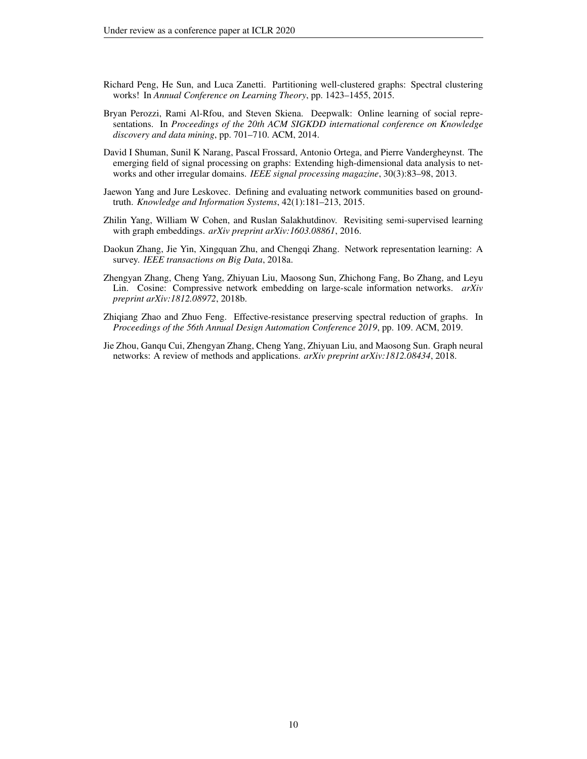- <span id="page-9-5"></span>Richard Peng, He Sun, and Luca Zanetti. Partitioning well-clustered graphs: Spectral clustering works! In *Annual Conference on Learning Theory*, pp. 1423–1455, 2015.
- <span id="page-9-1"></span>Bryan Perozzi, Rami Al-Rfou, and Steven Skiena. Deepwalk: Online learning of social representations. In *Proceedings of the 20th ACM SIGKDD international conference on Knowledge discovery and data mining*, pp. 701–710. ACM, 2014.
- <span id="page-9-4"></span>David I Shuman, Sunil K Narang, Pascal Frossard, Antonio Ortega, and Pierre Vandergheynst. The emerging field of signal processing on graphs: Extending high-dimensional data analysis to networks and other irregular domains. *IEEE signal processing magazine*, 30(3):83–98, 2013.
- <span id="page-9-8"></span>Jaewon Yang and Jure Leskovec. Defining and evaluating network communities based on groundtruth. *Knowledge and Information Systems*, 42(1):181–213, 2015.
- <span id="page-9-7"></span>Zhilin Yang, William W Cohen, and Ruslan Salakhutdinov. Revisiting semi-supervised learning with graph embeddings. *arXiv preprint arXiv:1603.08861*, 2016.
- <span id="page-9-2"></span>Daokun Zhang, Jie Yin, Xingquan Zhu, and Chengqi Zhang. Network representation learning: A survey. *IEEE transactions on Big Data*, 2018a.
- <span id="page-9-3"></span>Zhengyan Zhang, Cheng Yang, Zhiyuan Liu, Maosong Sun, Zhichong Fang, Bo Zhang, and Leyu Lin. Cosine: Compressive network embedding on large-scale information networks. *arXiv preprint arXiv:1812.08972*, 2018b.
- <span id="page-9-6"></span>Zhiqiang Zhao and Zhuo Feng. Effective-resistance preserving spectral reduction of graphs. In *Proceedings of the 56th Annual Design Automation Conference 2019*, pp. 109. ACM, 2019.
- <span id="page-9-0"></span>Jie Zhou, Ganqu Cui, Zhengyan Zhang, Cheng Yang, Zhiyuan Liu, and Maosong Sun. Graph neural networks: A review of methods and applications. *arXiv preprint arXiv:1812.08434*, 2018.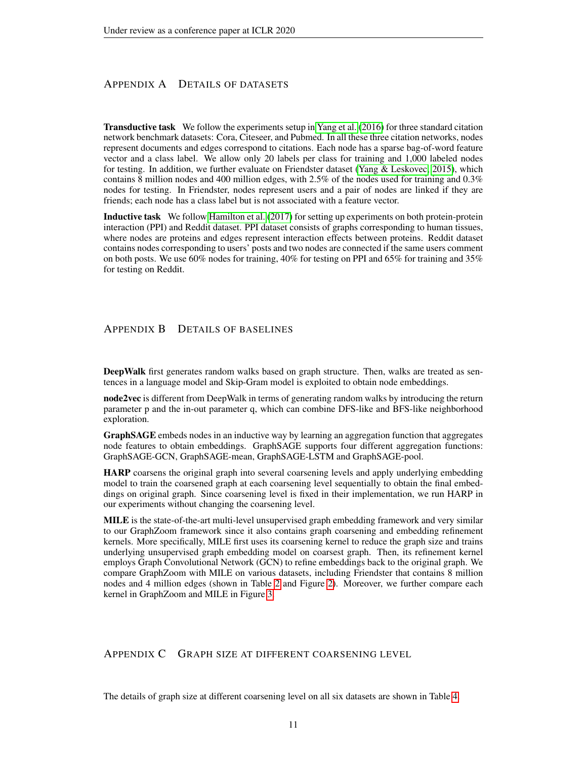# <span id="page-10-0"></span>APPENDIX A DETAILS OF DATASETS

Transductive task We follow the experiments setup in [Yang et al.](#page-9-7) [\(2016\)](#page-9-7) for three standard citation network benchmark datasets: Cora, Citeseer, and Pubmed. In all these three citation networks, nodes represent documents and edges correspond to citations. Each node has a sparse bag-of-word feature vector and a class label. We allow only 20 labels per class for training and 1,000 labeled nodes for testing. In addition, we further evaluate on Friendster dataset [\(Yang & Leskovec, 2015\)](#page-9-8), which contains 8 million nodes and 400 million edges, with 2.5% of the nodes used for training and 0.3% nodes for testing. In Friendster, nodes represent users and a pair of nodes are linked if they are friends; each node has a class label but is not associated with a feature vector.

Inductive task We follow [Hamilton et al.](#page-8-5) [\(2017\)](#page-8-5) for setting up experiments on both protein-protein interaction (PPI) and Reddit dataset. PPI dataset consists of graphs corresponding to human tissues, where nodes are proteins and edges represent interaction effects between proteins. Reddit dataset contains nodes corresponding to users' posts and two nodes are connected if the same users comment on both posts. We use 60% nodes for training, 40% for testing on PPI and 65% for training and 35% for testing on Reddit.

# <span id="page-10-1"></span>APPENDIX B DETAILS OF BASELINES

**DeepWalk** first generates random walks based on graph structure. Then, walks are treated as sentences in a language model and Skip-Gram model is exploited to obtain node embeddings.

node2vec is different from DeepWalk in terms of generating random walks by introducing the return parameter p and the in-out parameter q, which can combine DFS-like and BFS-like neighborhood exploration.

GraphSAGE embeds nodes in an inductive way by learning an aggregation function that aggregates node features to obtain embeddings. GraphSAGE supports four different aggregation functions: GraphSAGE-GCN, GraphSAGE-mean, GraphSAGE-LSTM and GraphSAGE-pool.

HARP coarsens the original graph into several coarsening levels and apply underlying embedding model to train the coarsened graph at each coarsening level sequentially to obtain the final embeddings on original graph. Since coarsening level is fixed in their implementation, we run HARP in our experiments without changing the coarsening level.

MILE is the state-of-the-art multi-level unsupervised graph embedding framework and very similar to our GraphZoom framework since it also contains graph coarsening and embedding refinement kernels. More specifically, MILE first uses its coarsening kernel to reduce the graph size and trains underlying unsupervised graph embedding model on coarsest graph. Then, its refinement kernel employs Graph Convolutional Network (GCN) to refine embeddings back to the original graph. We compare GraphZoom with MILE on various datasets, including Friendster that contains 8 million nodes and 4 million edges (shown in Table [2](#page-6-0) and Figure [2\)](#page-6-1). Moreover, we further compare each kernel in GraphZoom and MILE in Figure [3.](#page-7-1)

# <span id="page-10-2"></span>APPENDIX C GRAPH SIZE AT DIFFERENT COARSENING LEVEL

The details of graph size at different coarsening level on all six datasets are shown in Table [4.](#page-11-0)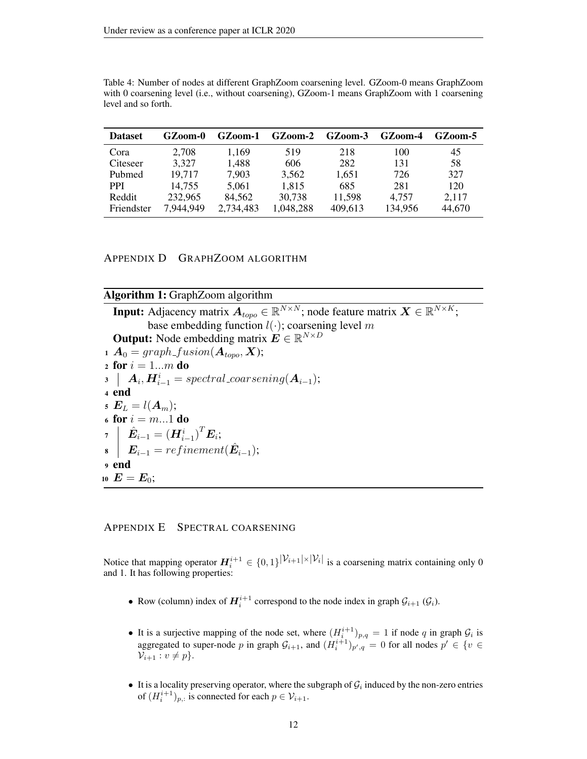<span id="page-11-0"></span>Table 4: Number of nodes at different GraphZoom coarsening level. GZoom-0 means GraphZoom with 0 coarsening level (i.e., without coarsening), GZoom-1 means GraphZoom with 1 coarsening level and so forth.

| <b>Dataset</b> | GZoom-0   | $GZ$ oom-1 | $GZ$ oom-2 | GZoom-3 | GZoom-4 | GZ00m-5 |
|----------------|-----------|------------|------------|---------|---------|---------|
| Cora           | 2.708     | 1.169      | 519        | 218     | 100     | 45      |
| Citeseer       | 3,327     | 1,488      | 606        | 282     | 131     | 58      |
| Pubmed         | 19,717    | 7,903      | 3,562      | 1,651   | 726     | 327     |
| <b>PPI</b>     | 14.755    | 5.061      | 1.815      | 685     | 281     | 120     |
| Reddit         | 232,965   | 84.562     | 30,738     | 11,598  | 4.757   | 2,117   |
| Friendster     | 7,944,949 | 2,734,483  | 1,048,288  | 409,613 | 134,956 | 44,670  |

APPENDIX D GRAPHZOOM ALGORITHM

| <b>Algorithm 1:</b> GraphZoom algorithm |  |  |
|-----------------------------------------|--|--|
|-----------------------------------------|--|--|

**Input:** Adjacency matrix  $A_{topo} \in \mathbb{R}^{N \times N}$ ; node feature matrix  $\boldsymbol{X} \in \mathbb{R}^{N \times K}$ ; base embedding function  $l(\cdot)$ ; coarsening level m **Output:** Node embedding matrix  $\mathbf{E} \in \mathbb{R}^{N \times D}$ 1  $\mathbf{A}_0 = graph\_fusion(\mathbf{A}_{topo}, \mathbf{X});$ 2 for  $i = 1...m$  do  $\bm{s} \ \ \big\vert \ \ \bm{A}_i, \bm{H}_{i-1}^i = spectral\_coarsening(\bm{A}_{i-1});$ <sup>4</sup> end 5  $E_L = l(A_m);$ 6 for  $i = m...1$  do <sup>7</sup> Eˆ <sup>i</sup>−<sup>1</sup> = (H<sup>i</sup> i−1 ) <sup>T</sup> E<sup>i</sup> ;  $\begin{array}{ccc} \mathbf{s} & \mid & \boldsymbol{E}_{i-1} = \mathit{refinement}(\hat{\boldsymbol{E}}_{i-1}); \end{array}$ <sup>9</sup> end 10  $E = E_0$ ;

# APPENDIX E SPECTRAL COARSENING

Notice that mapping operator  $H_i^{i+1} \in \{0,1\}^{|\mathcal{V}_{i+1}| \times |\mathcal{V}_i|}$  is a coarsening matrix containing only 0 and 1. It has following properties:

- Row (column) index of  $H_i^{i+1}$  correspond to the node index in graph  $\mathcal{G}_{i+1}(\mathcal{G}_i)$ .
- It is a surjective mapping of the node set, where  $(H_i^{i+1})_{p,q} = 1$  if node q in graph  $\mathcal{G}_i$  is aggregated to super-node p in graph  $\mathcal{G}_{i+1}$ , and  $(H_i^{i+1})_{p',q} = 0$  for all nodes  $p' \in \{v \in$  $\mathcal{V}_{i+1}$ :  $v \neq p$ .
- It is a locality preserving operator, where the subgraph of  $G_i$  induced by the non-zero entries of  $(H_i^{i+1})_{p,:}$  is connected for each  $p \in \mathcal{V}_{i+1}.$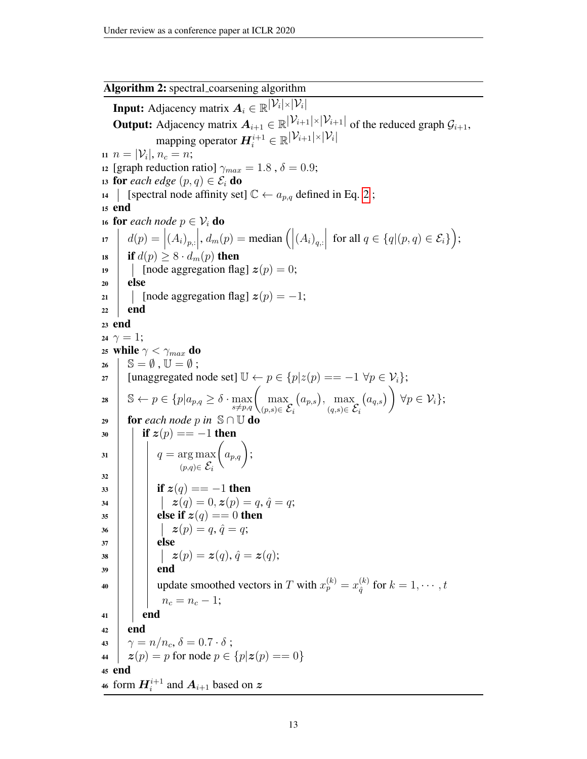Algorithm 2: spectral coarsening algorithm **Input:** Adjacency matrix  $A_i \in \overline{\mathbb{R}^{|V_i| \times |V_i|}}$ **Output:** Adjacency matrix  $A_{i+1} \in \mathbb{R}^{|\mathcal{V}_{i+1}| \times |\mathcal{V}_{i+1}|}$  of the reduced graph  $\mathcal{G}_{i+1}$ , mapping operator  $\boldsymbol{H}_i^{i+1} \in \mathbb{R}^{\left|\mathcal{V}_{i+1}\right| \times \left|\mathcal{V}_{i}\right|}$ 11  $n = |\mathcal{V}_i|, n_c = n;$ 12 [graph reduction ratio]  $\gamma_{max} = 1.8$ ,  $\delta = 0.9$ ; 13 **for** *each edge*  $(p, q) \in \mathcal{E}_i$  **do** 14 [spectral node affinity set]  $\mathbb{C} \leftarrow a_{p,q}$  defined in Eq. [2](#page-3-2); <sup>15</sup> end 16 **for** each node  $p \in \mathcal{V}_i$  **do** 17  $d(p) = |(A_i)_{p,:}|, d_m(p) = \text{median}(|(A_i)_{q,:}|)$ for all  $q \in \{q | (p, q) \in \mathcal{E}_i\}$ ); 18 **if**  $d(p) \geq 8 \cdot d_m(p)$  then 19 | [node aggregation flag]  $z(p) = 0$ ;  $20$  else 21 | [node aggregation flag]  $z(p) = -1$ ;  $22$  end <sup>23</sup> end 24  $\gamma = 1$ ; 25 while  $\gamma < \gamma_{max}$  do  $26 \mid S = \emptyset, U = \emptyset;$  $27$  | [unaggregated node set]  $\mathbb{U} \leftarrow p \in \{p | z(p) == -1 \; \forall p \in \mathcal{V}_i\};$ 28  $\Big| \mathbb{S} \leftarrow p \in \{p | a_{p,q} \geq \delta \cdot \max_{s \neq p,q} \left( \max_{(p,s) \in \mathcal{S}} \right)$  $(p,s)$ ∈  $\mathcal{E}_i$  $(a_{p,s}), \ \max$  $(q,s)$ ∈  $\mathcal{E}_i$  $(a_{q,s})\bigg)$  $\forall p \in \mathcal{V}_i\};$ 29 **for** each node p in  $\mathbb{S} \cap \mathbb{U}$  do 30 **if**  $z(p) == -1$  then  $31 \mid q = \arg \max$  $(p,q) \in \mathcal{E}_i$  $\Big(a_{p,q}\Big);$ 32 33 **i if**  $z(q) = -1$  then  $\mathbf{z}(q) = 0, \mathbf{z}(p) = q, \hat{q} = q;$  $35$   $\vert$   $\vert$  else if  $z(q) == 0$  then 36 | | |  $\mathbf{z}(p) = q, \hat{q} = q;$  $37$  else  $\boxed{\quad \ \ } \qquad \quad \ \ \, \bm{z}(p)=\bm{z}(q),\,\hat{q}=\bm{z}(q);$  $39$  end 40 update smoothed vectors in T with  $x_p^{(k)} = x_{\hat{a}}^{(k)}$  $q^{(k)}\over 4$  for  $k=1,\cdots,t$  $n_c = n_c - 1;$  $41$  end  $42$  end 43  $\gamma = n/n_c, \delta = 0.7 \cdot \delta$ ; 44  $z(p) = p$  for node  $p \in \{p | z(p) = 0\}$ <sup>45</sup> end 46 form  $\boldsymbol{H}^{i+1}_i$  and  $\boldsymbol{A}_{i+1}$  based on  $\boldsymbol{z}$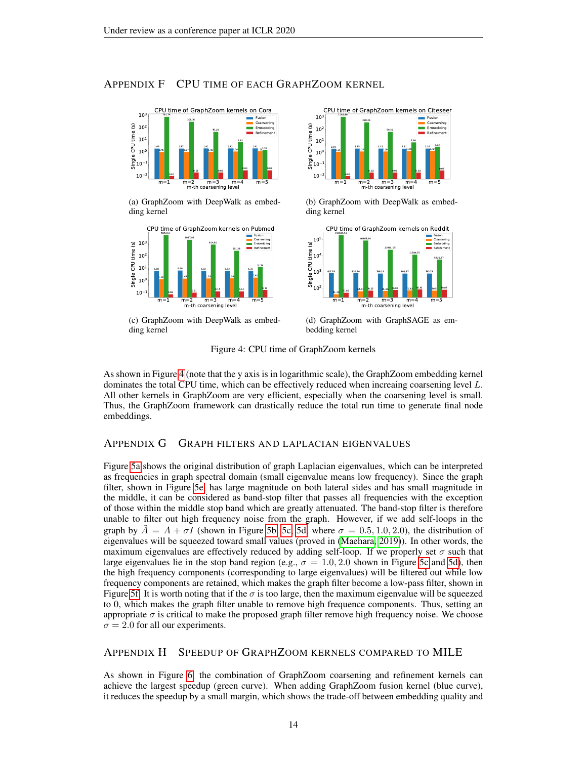# APPENDIX F CPU TIME OF EACH GRAPHZOOM KERNEL

<span id="page-13-0"></span>

(a) GraphZoom with DeepWalk as embedding kernel



(c) GraphZoom with DeepWalk as embedding kernel



(b) GraphZoom with DeepWalk as embedding kernel



(d) GraphZoom with GraphSAGE as embedding kernel

Figure 4: CPU time of GraphZoom kernels

As shown in Figure [4](#page-13-0) (note that the y axis is in logarithmic scale), the GraphZoom embedding kernel dominates the total CPU time, which can be effectively reduced when increaing coarsening level L. All other kernels in GraphZoom are very efficient, especially when the coarsening level is small. Thus, the GraphZoom framework can drastically reduce the total run time to generate final node embeddings.

# APPENDIX G GRAPH FILTERS AND LAPLACIAN EIGENVALUES

Figure [5a](#page-14-0) shows the original distribution of graph Laplacian eigenvalues, which can be interpreted as frequencies in graph spectral domain (small eigenvalue means low frequency). Since the graph filter, shown in Figure [5e,](#page-14-0) has large magnitude on both lateral sides and has small magnitude in the middle, it can be considered as band-stop filter that passes all frequencies with the exception of those within the middle stop band which are greatly attenuated. The band-stop filter is therefore unable to filter out high frequency noise from the graph. However, if we add self-loops in the graph by  $A = A + \sigma I$  (shown in Figure [5b, 5c, 5d,](#page-14-0) where  $\sigma = 0.5, 1.0, 2.0$ ), the distribution of eigenvalues will be squeezed toward small values (proved in [\(Maehara, 2019\)](#page-8-4)). In other words, the maximum eigenvalues are effectively reduced by adding self-loop. If we properly set  $\sigma$  such that large eigenvalues lie in the stop band region (e.g.,  $\sigma = 1.0, 2.0$  shown in Figure [5c](#page-14-0) and [5d\)](#page-14-0), then the high frequency components (corresponding to large eigenvalues) will be filtered out while low frequency components are retained, which makes the graph filter become a low-pass filter, shown in Figure [5f.](#page-14-0) It is worth noting that if the  $\sigma$  is too large, then the maximum eigenvalue will be squeezed to 0, which makes the graph filter unable to remove high frequence components. Thus, setting an appropriate  $\sigma$  is critical to make the proposed graph filter remove high frequency noise. We choose  $\sigma = 2.0$  for all our experiments.

#### <span id="page-13-1"></span>APPENDIX H SPEEDUP OF GRAPHZOOM KERNELS COMPARED TO MILE

As shown in Figure [6,](#page-15-0) the combination of GraphZoom coarsening and refinement kernels can achieve the largest speedup (green curve). When adding GraphZoom fusion kernel (blue curve), it reduces the speedup by a small margin, which shows the trade-off between embedding quality and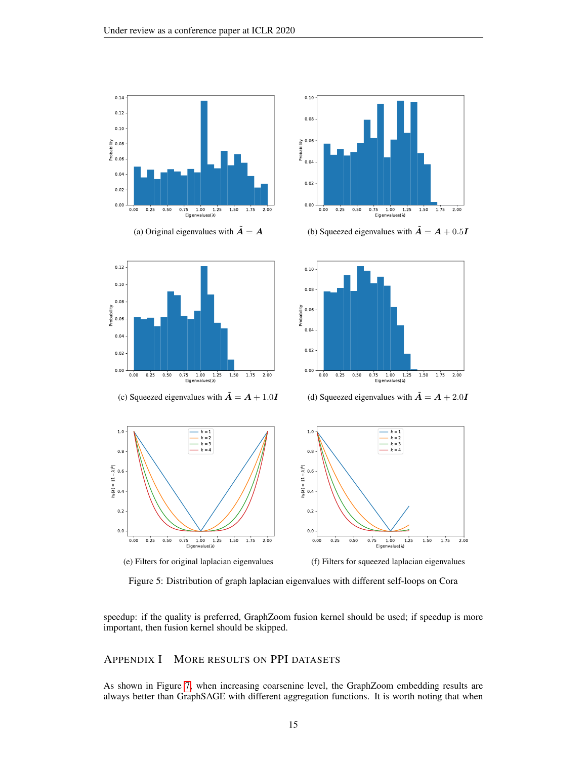

(a) Original eigenvalues with  $\tilde{A} = A$ 

0.00 0.25 0.50 0.75 1.00 1.25 1.50 1.75 2.00  $1.00$   $1.25$ <br>genvalues( $\lambda$ )

0.00 0.02 0.04 0.06  $\begin{bmatrix} 0.08 \ \frac{1}{2} & 0.08 \ \frac{1}{2} & 0.06 \end{bmatrix}$ 

<span id="page-14-0"></span>0.10 0.12 0.14





(c) Squeezed eigenvalues with  $\tilde{A} = A + 1.0I$ 



(d) Squeezed eigenvalues with  $\tilde{A} = A + 2.0I$ 



Figure 5: Distribution of graph laplacian eigenvalues with different self-loops on Cora

speedup: if the quality is preferred, GraphZoom fusion kernel should be used; if speedup is more important, then fusion kernel should be skipped.

# <span id="page-14-1"></span>APPENDIX I MORE RESULTS ON PPI DATASETS

As shown in Figure [7,](#page-15-1) when increasing coarsenine level, the GraphZoom embedding results are always better than GraphSAGE with different aggregation functions. It is worth noting that when